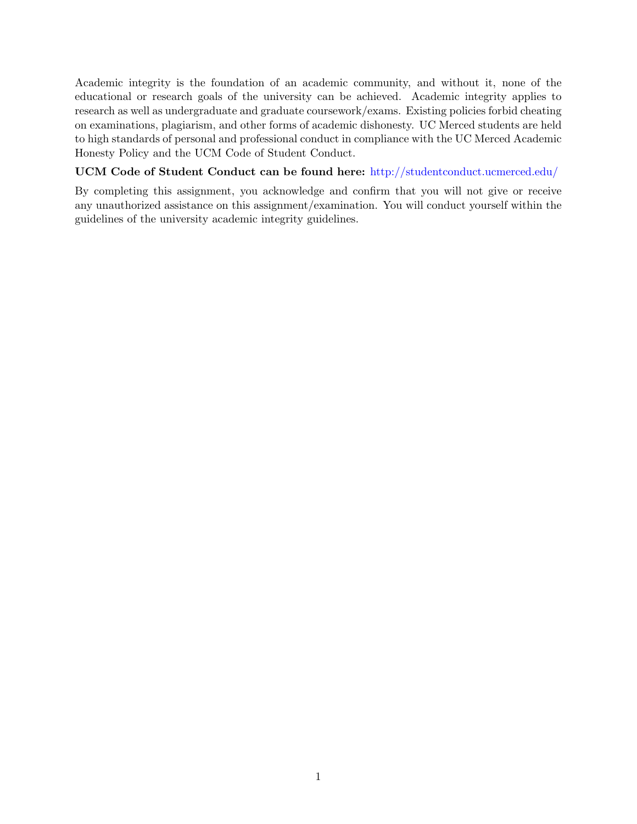Academic integrity is the foundation of an academic community, and without it, none of the educational or research goals of the university can be achieved. Academic integrity applies to research as well as undergraduate and graduate coursework/exams. Existing policies forbid cheating on examinations, plagiarism, and other forms of academic dishonesty. UC Merced students are held to high standards of personal and professional conduct in compliance with the UC Merced Academic Honesty Policy and the UCM Code of Student Conduct.

## UCM Code of Student Conduct can be found here: http://studentconduct.ucmerced.edu/

By completing this assignment, you acknowledge and confirm that you will not give or receive any unauthorized assistance on this assignment/examination. You will conduct yourself within the guidelines of the university academic integrity guidelines.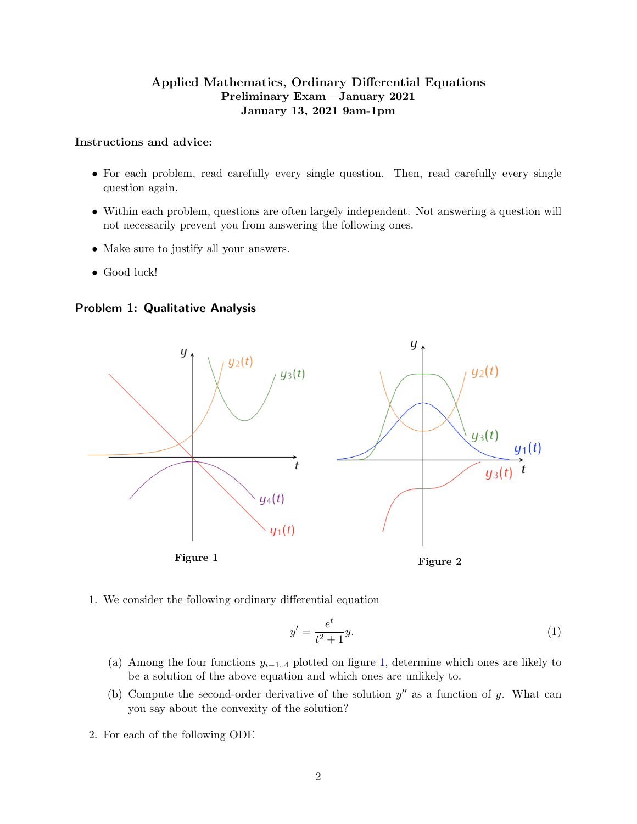# Applied Mathematics, Ordinary Differential Equations Preliminary Exam—January 2021 January 13, 2021 9am-1pm

## Instructions and advice:

- For each problem, read carefully every single question. Then, read carefully every single question again.
- Within each problem, questions are often largely independent. Not answering a question will not necessarily prevent you from answering the following ones.
- Make sure to justify all your answers.
- Good luck!

Problem 1: Qualitative Analysis

<span id="page-1-0"></span>

1. We consider the following ordinary differential equation

$$
y' = \frac{e^t}{t^2 + 1}y.\tag{1}
$$

- (a) Among the four functions  $y_{i-1..4}$  plotted on figure [1,](#page-1-0) determine which ones are likely to be a solution of the above equation and which ones are unlikely to.
- (b) Compute the second-order derivative of the solution  $y''$  as a function of y. What can you say about the convexity of the solution?
- 2. For each of the following ODE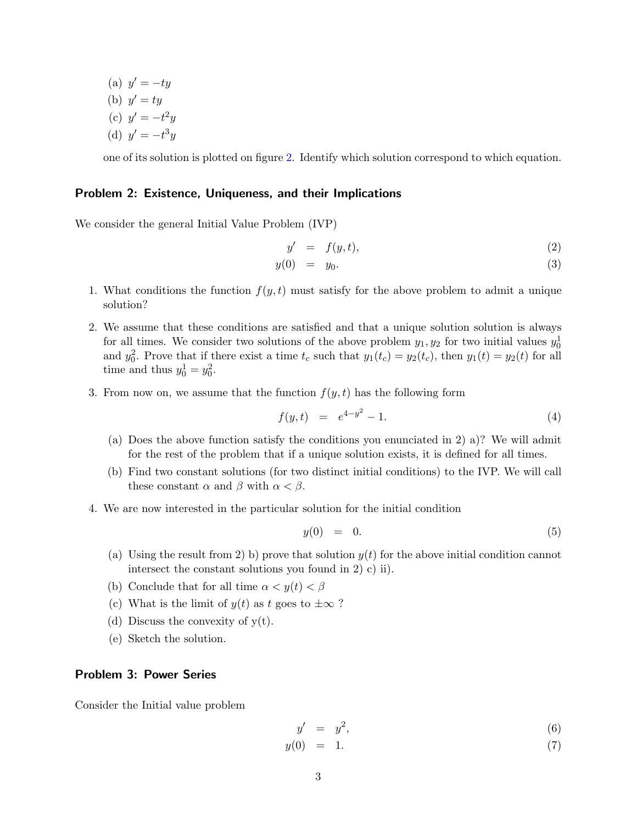(a)  $y' = -ty$ (b)  $y' = ty$ (c)  $y' = -t^2y$ (d)  $y' = -t^3y$ 

one of its solution is plotted on figure [2.](#page-1-0) Identify which solution correspond to which equation.

### Problem 2: Existence, Uniqueness, and their Implications

We consider the general Initial Value Problem (IVP)

$$
y' = f(y, t), \tag{2}
$$

$$
y(0) = y_0. \tag{3}
$$

- 1. What conditions the function  $f(y, t)$  must satisfy for the above problem to admit a unique solution?
- 2. We assume that these conditions are satisfied and that a unique solution solution is always for all times. We consider two solutions of the above problem  $y_1, y_2$  for two initial values  $y_0^1$ and  $y_0^2$ . Prove that if there exist a time  $t_c$  such that  $y_1(t_c) = y_2(t_c)$ , then  $y_1(t) = y_2(t)$  for all time and thus  $y_0^1 = y_0^2$ .
- 3. From now on, we assume that the function  $f(y, t)$  has the following form

$$
f(y,t) = e^{4-y^2} - 1.
$$
 (4)

- (a) Does the above function satisfy the conditions you enunciated in 2) a)? We will admit for the rest of the problem that if a unique solution exists, it is defined for all times.
- (b) Find two constant solutions (for two distinct initial conditions) to the IVP. We will call these constant  $\alpha$  and  $\beta$  with  $\alpha < \beta$ .
- 4. We are now interested in the particular solution for the initial condition

$$
y(0) = 0. \tag{5}
$$

- (a) Using the result from 2) b) prove that solution  $y(t)$  for the above initial condition cannot intersect the constant solutions you found in 2) c) ii).
- (b) Conclude that for all time  $\alpha < y(t) < \beta$
- (c) What is the limit of  $y(t)$  as t goes to  $\pm \infty$ ?
- (d) Discuss the convexity of  $y(t)$ .
- (e) Sketch the solution.

#### Problem 3: Power Series

Consider the Initial value problem

$$
y' = y^2, \tag{6}
$$

 $y(0) = 1.$  (7)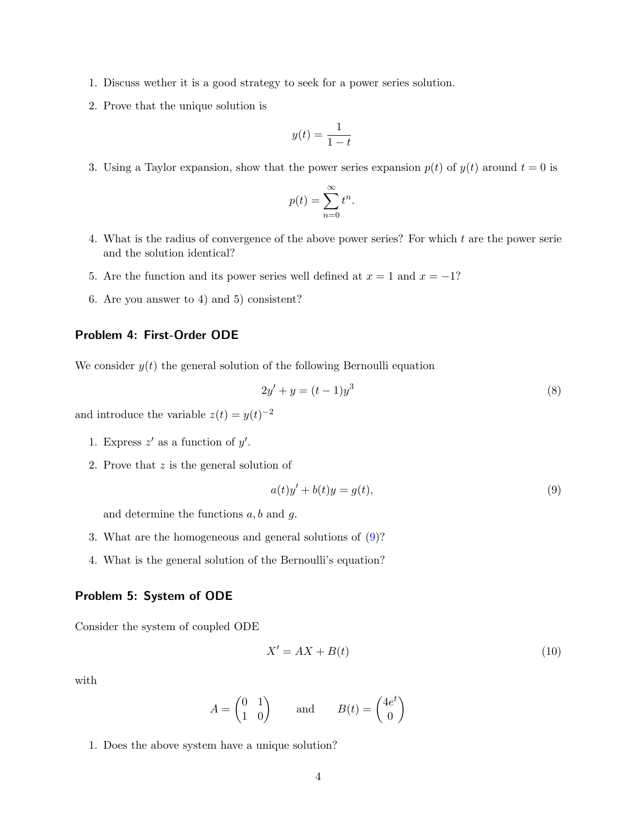- 1. Discuss wether it is a good strategy to seek for a power series solution.
- 2. Prove that the unique solution is

$$
y(t) = \frac{1}{1-t}
$$

3. Using a Taylor expansion, show that the power series expansion  $p(t)$  of  $y(t)$  around  $t = 0$  is

$$
p(t) = \sum_{n=0}^{\infty} t^n.
$$

- 4. What is the radius of convergence of the above power series? For which t are the power serie and the solution identical?
- 5. Are the function and its power series well defined at  $x = 1$  and  $x = -1$ ?
- 6. Are you answer to 4) and 5) consistent?

## Problem 4: First-Order ODE

We consider  $y(t)$  the general solution of the following Bernoulli equation

$$
2y' + y = (t - 1)y^3
$$
 (8)

and introduce the variable  $z(t) = y(t)^{-2}$ 

- 1. Express  $z'$  as a function of  $y'$ .
- 2. Prove that z is the general solution of

<span id="page-3-0"></span>
$$
a(t)y' + b(t)y = g(t),
$$
\n(9)

and determine the functions  $a, b$  and  $g$ .

- 3. What are the homogeneous and general solutions of [\(9\)](#page-3-0)?
- 4. What is the general solution of the Bernoulli's equation?

## Problem 5: System of ODE

Consider the system of coupled ODE

<span id="page-3-1"></span>
$$
X' = AX + B(t) \tag{10}
$$

with

$$
A = \begin{pmatrix} 0 & 1 \\ 1 & 0 \end{pmatrix} \quad \text{and} \quad B(t) = \begin{pmatrix} 4e^t \\ 0 \end{pmatrix}
$$

1. Does the above system have a unique solution?